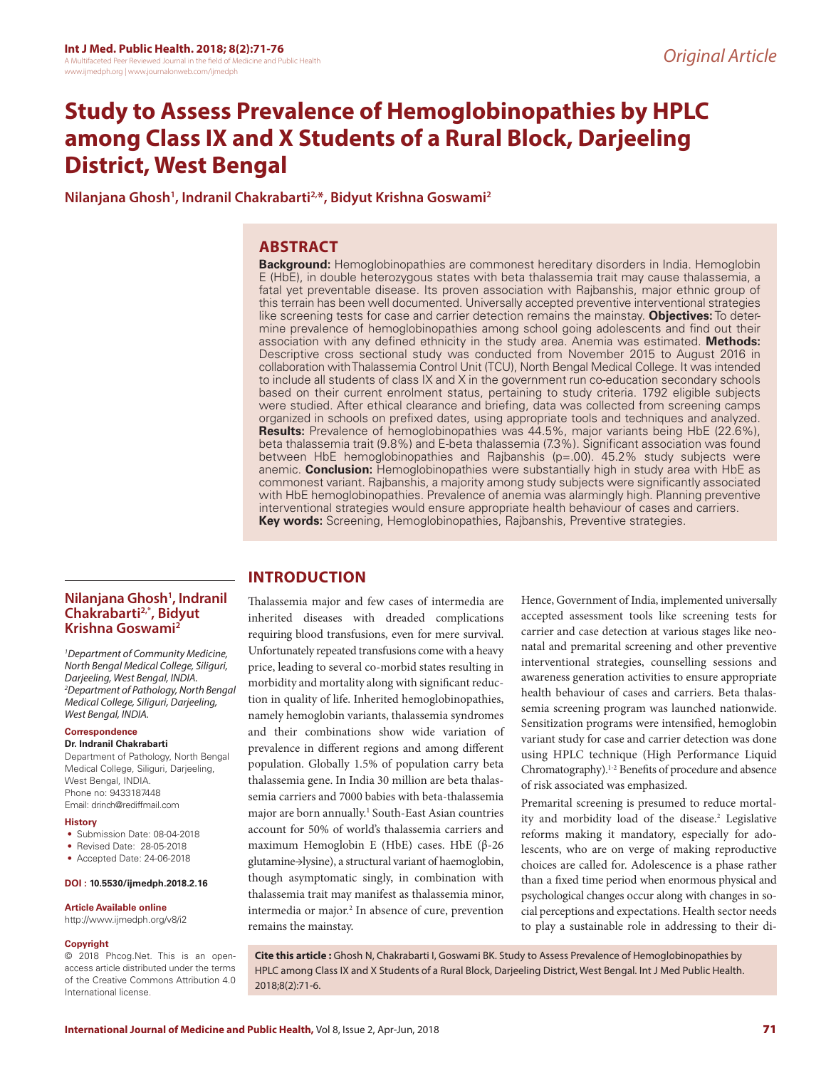# **Study to Assess Prevalence of Hemoglobinopathies by HPLC among Class IX and X Students of a Rural Block, Darjeeling District, West Bengal**

**Nilanjana Ghosh1 , Indranil Chakrabarti2,\*, Bidyut Krishna Goswami2**

# **ABSTRACT**

**Background:** Hemoglobinopathies are commonest hereditary disorders in India. Hemoglobin E (HbE), in double heterozygous states with beta thalassemia trait may cause thalassemia, a fatal yet preventable disease. Its proven association with Rajbanshis, major ethnic group of this terrain has been well documented. Universally accepted preventive interventional strategies like screening tests for case and carrier detection remains the mainstay. **Objectives:** To determine prevalence of hemoglobinopathies among school going adolescents and find out their association with any defined ethnicity in the study area. Anemia was estimated. **Methods:** Descriptive cross sectional study was conducted from November 2015 to August 2016 in collaboration with Thalassemia Control Unit (TCU), North Bengal Medical College. It was intended to include all students of class IX and X in the government run co-education secondary schools based on their current enrolment status, pertaining to study criteria. 1792 eligible subjects were studied. After ethical clearance and briefing, data was collected from screening camps organized in schools on prefixed dates, using appropriate tools and techniques and analyzed. **Results:** Prevalence of hemoglobinopathies was 44.5%, major variants being HbE (22.6%), beta thalassemia trait (9.8%) and E-beta thalassemia (7.3%). Significant association was found between HbE hemoglobinopathies and Rajbanshis (p=.00). 45.2% study subjects were anemic. **Conclusion:** Hemoglobinopathies were substantially high in study area with HbE as commonest variant. Rajbanshis, a majority among study subjects were significantly associated with HbE hemoglobinopathies. Prevalence of anemia was alarmingly high. Planning preventive interventional strategies would ensure appropriate health behaviour of cases and carriers. **Key words:** Screening, Hemoglobinopathies, Rajbanshis, Preventive strategies.

#### **Nilanjana Ghosh1 , Indranil Chakrabarti2,\*, Bidyut Krishna Goswami2**

*1 Department of Community Medicine, North Bengal Medical College, Siliguri, Darjeeling, West Bengal, INDIA. 2 Department of Pathology, North Bengal Medical College, Siliguri, Darjeeling, West Bengal, INDIA.*

#### **Correspondence**

#### **Dr. Indranil Chakrabarti**

Department of Pathology, North Bengal Medical College, Siliguri, Darjeeling, West Bengal, INDIA. Phone no: 9433187448 Email: drinch@rediffmail.com

#### **History**

- Submission Date: 08-04-2018
- Revised Date: 28-05-2018
- Accepted Date: 24-06-2018

#### **DOI : 10.5530/ijmedph.2018.2.16**

#### **Article Available online**

http://www.ijmedph.org/v8/i2

#### **Copyright**

© 2018 Phcog.Net. This is an openaccess article distributed under the terms of the Creative Commons Attribution 4.0 International license.

# **INTRODUCTION**

Thalassemia major and few cases of intermedia are inherited diseases with dreaded complications requiring blood transfusions, even for mere survival. Unfortunately repeated transfusions come with a heavy price, leading to several co-morbid states resulting in morbidity and mortality along with significant reduction in quality of life. Inherited hemoglobinopathies, namely hemoglobin variants, thalassemia syndromes and their combinations show wide variation of prevalence in different regions and among different population. Globally 1.5% of population carry beta thalassemia gene. In India 30 million are beta thalassemia carriers and 7000 babies with beta-thalassemia major are born annually.<sup>1</sup> South-East Asian countries account for 50% of world's thalassemia carriers and maximum Hemoglobin E (HbE) cases. HbE (β-26 glutamine→lysine), a structural variant of haemoglobin, though asymptomatic singly, in combination with thalassemia trait may manifest as thalassemia minor, intermedia or major.<sup>2</sup> In absence of cure, prevention remains the mainstay.

Hence, Government of India, implemented universally accepted assessment tools like screening tests for carrier and case detection at various stages like neonatal and premarital screening and other preventive interventional strategies, counselling sessions and awareness generation activities to ensure appropriate health behaviour of cases and carriers. Beta thalassemia screening program was launched nationwide. Sensitization programs were intensified, hemoglobin variant study for case and carrier detection was done using HPLC technique (High Performance Liquid Chromatography).1-2 Benefits of procedure and absence of risk associated was emphasized.

Premarital screening is presumed to reduce mortality and morbidity load of the disease.<sup>2</sup> Legislative reforms making it mandatory, especially for adolescents, who are on verge of making reproductive choices are called for. Adolescence is a phase rather than a fixed time period when enormous physical and psychological changes occur along with changes in social perceptions and expectations. Health sector needs to play a sustainable role in addressing to their di-

**Cite this article :** Ghosh N, Chakrabarti I, Goswami BK. Study to Assess Prevalence of Hemoglobinopathies by HPLC among Class IX and X Students of a Rural Block, Darjeeling District, West Bengal. Int J Med Public Health. 2018;8(2):71-6.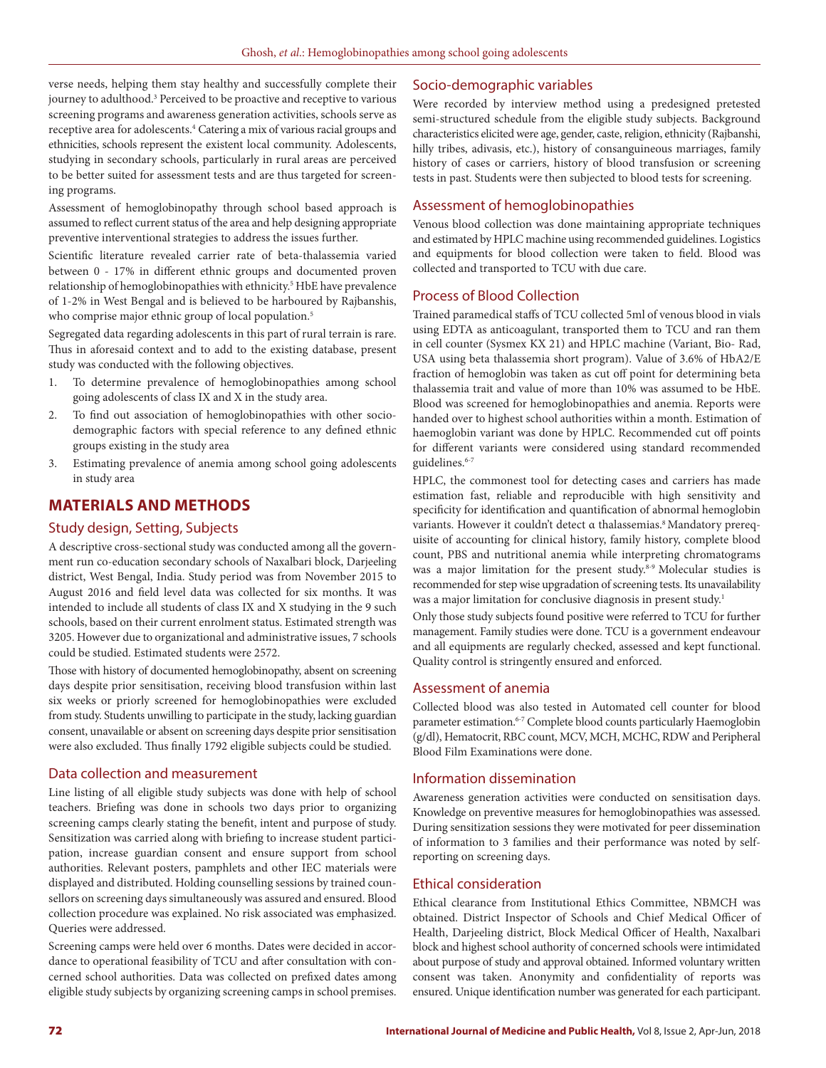verse needs, helping them stay healthy and successfully complete their journey to adulthood.<sup>3</sup> Perceived to be proactive and receptive to various screening programs and awareness generation activities, schools serve as receptive area for adolescents.<sup>4</sup> Catering a mix of various racial groups and ethnicities, schools represent the existent local community. Adolescents, studying in secondary schools, particularly in rural areas are perceived to be better suited for assessment tests and are thus targeted for screening programs.

Assessment of hemoglobinopathy through school based approach is assumed to reflect current status of the area and help designing appropriate preventive interventional strategies to address the issues further.

Scientific literature revealed carrier rate of beta-thalassemia varied between 0 - 17% in different ethnic groups and documented proven relationship of hemoglobinopathies with ethnicity.<sup>5</sup> HbE have prevalence of 1-2% in West Bengal and is believed to be harboured by Rajbanshis, who comprise major ethnic group of local population.<sup>5</sup>

Segregated data regarding adolescents in this part of rural terrain is rare. Thus in aforesaid context and to add to the existing database, present study was conducted with the following objectives.

- 1. To determine prevalence of hemoglobinopathies among school going adolescents of class IX and X in the study area.
- 2. To find out association of hemoglobinopathies with other sociodemographic factors with special reference to any defined ethnic groups existing in the study area
- 3. Estimating prevalence of anemia among school going adolescents in study area

# **MATERIALS AND METHODS**

## Study design, Setting, Subjects

A descriptive cross-sectional study was conducted among all the government run co-education secondary schools of Naxalbari block, Darjeeling district, West Bengal, India. Study period was from November 2015 to August 2016 and field level data was collected for six months. It was intended to include all students of class IX and X studying in the 9 such schools, based on their current enrolment status. Estimated strength was 3205. However due to organizational and administrative issues, 7 schools could be studied. Estimated students were 2572.

Those with history of documented hemoglobinopathy, absent on screening days despite prior sensitisation, receiving blood transfusion within last six weeks or priorly screened for hemoglobinopathies were excluded from study. Students unwilling to participate in the study, lacking guardian consent, unavailable or absent on screening days despite prior sensitisation were also excluded. Thus finally 1792 eligible subjects could be studied.

#### Data collection and measurement

Line listing of all eligible study subjects was done with help of school teachers. Briefing was done in schools two days prior to organizing screening camps clearly stating the benefit, intent and purpose of study. Sensitization was carried along with briefing to increase student participation, increase guardian consent and ensure support from school authorities. Relevant posters, pamphlets and other IEC materials were displayed and distributed. Holding counselling sessions by trained counsellors on screening days simultaneously was assured and ensured. Blood collection procedure was explained. No risk associated was emphasized. Queries were addressed.

Screening camps were held over 6 months. Dates were decided in accordance to operational feasibility of TCU and after consultation with concerned school authorities. Data was collected on prefixed dates among eligible study subjects by organizing screening camps in school premises.

## Socio-demographic variables

Were recorded by interview method using a predesigned pretested semi-structured schedule from the eligible study subjects. Background characteristics elicited were age, gender, caste, religion, ethnicity (Rajbanshi, hilly tribes, adivasis, etc.), history of consanguineous marriages, family history of cases or carriers, history of blood transfusion or screening tests in past. Students were then subjected to blood tests for screening.

## Assessment of hemoglobinopathies

Venous blood collection was done maintaining appropriate techniques and estimated by HPLC machine using recommended guidelines. Logistics and equipments for blood collection were taken to field. Blood was collected and transported to TCU with due care.

#### Process of Blood Collection

Trained paramedical staffs of TCU collected 5ml of venous blood in vials using EDTA as anticoagulant, transported them to TCU and ran them in cell counter (Sysmex KX 21) and HPLC machine (Variant, Bio- Rad, USA using beta thalassemia short program). Value of 3.6% of HbA2/E fraction of hemoglobin was taken as cut off point for determining beta thalassemia trait and value of more than 10% was assumed to be HbE. Blood was screened for hemoglobinopathies and anemia. Reports were handed over to highest school authorities within a month. Estimation of haemoglobin variant was done by HPLC. Recommended cut off points for different variants were considered using standard recommended guidelines.<sup>6-7</sup>

HPLC, the commonest tool for detecting cases and carriers has made estimation fast, reliable and reproducible with high sensitivity and specificity for identification and quantification of abnormal hemoglobin variants. However it couldn't detect α thalassemias.<sup>8</sup> Mandatory prerequisite of accounting for clinical history, family history, complete blood count, PBS and nutritional anemia while interpreting chromatograms was a major limitation for the present study.<sup>8-9</sup> Molecular studies is recommended for step wise upgradation of screening tests. Its unavailability was a major limitation for conclusive diagnosis in present study.<sup>1</sup>

Only those study subjects found positive were referred to TCU for further management. Family studies were done. TCU is a government endeavour and all equipments are regularly checked, assessed and kept functional. Quality control is stringently ensured and enforced.

### Assessment of anemia

Collected blood was also tested in Automated cell counter for blood parameter estimation.<sup>6-7</sup> Complete blood counts particularly Haemoglobin (g/dl), Hematocrit, RBC count, MCV, MCH, MCHC, RDW and Peripheral Blood Film Examinations were done.

## Information dissemination

Awareness generation activities were conducted on sensitisation days. Knowledge on preventive measures for hemoglobinopathies was assessed. During sensitization sessions they were motivated for peer dissemination of information to 3 families and their performance was noted by selfreporting on screening days.

## Ethical consideration

Ethical clearance from Institutional Ethics Committee, NBMCH was obtained. District Inspector of Schools and Chief Medical Officer of Health, Darjeeling district, Block Medical Officer of Health, Naxalbari block and highest school authority of concerned schools were intimidated about purpose of study and approval obtained. Informed voluntary written consent was taken. Anonymity and confidentiality of reports was ensured. Unique identification number was generated for each participant.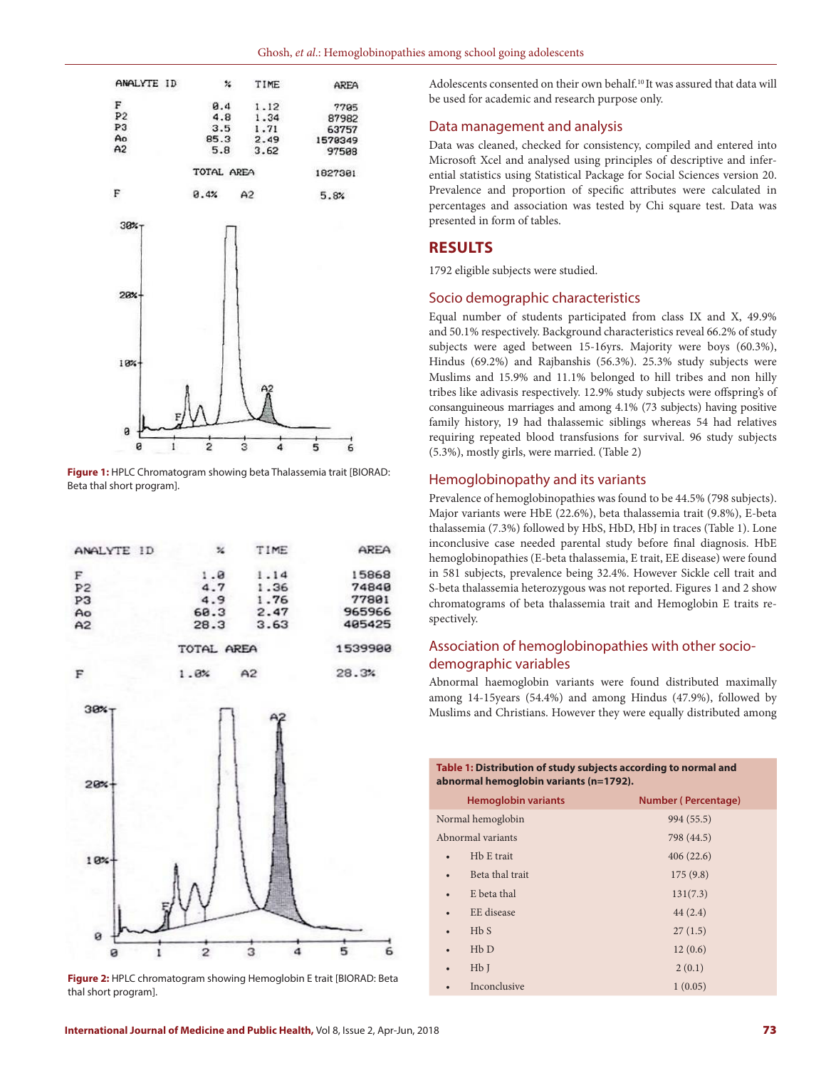



**Figure 1:** HPLC Chromatogram showing beta Thalassemia trait [BIORAD: Beta thal short program].

| ANALYTE ID     | ×          | TIME | AREA    |
|----------------|------------|------|---------|
| F              | 1.0        | 1.14 | 15868   |
| P <sub>2</sub> | 4.7        | 1.36 | 74840   |
| P <sub>3</sub> | 4.9        | 1.76 | 77801   |
| Ao             | 60.3       | 2.47 | 965966  |
| A2             | 28.3       | 3.63 | 405425  |
|                | TOTAL AREA |      | 1539900 |
| F              | 1.6%       | A2   | 28.3%   |



**Figure 2:** HPLC chromatogram showing Hemoglobin E trait [BIORAD: Beta thal short program].

Adolescents consented on their own behalf.<sup>10</sup> It was assured that data will be used for academic and research purpose only.

### Data management and analysis

Data was cleaned, checked for consistency, compiled and entered into Microsoft Xcel and analysed using principles of descriptive and inferential statistics using Statistical Package for Social Sciences version 20. Prevalence and proportion of specific attributes were calculated in percentages and association was tested by Chi square test. Data was presented in form of tables.

# **RESULTS**

1792 eligible subjects were studied.

#### Socio demographic characteristics

Equal number of students participated from class IX and X, 49.9% and 50.1% respectively. Background characteristics reveal 66.2% of study subjects were aged between 15-16yrs. Majority were boys (60.3%), Hindus (69.2%) and Rajbanshis (56.3%). 25.3% study subjects were Muslims and 15.9% and 11.1% belonged to hill tribes and non hilly tribes like adivasis respectively. 12.9% study subjects were offspring's of consanguineous marriages and among 4.1% (73 subjects) having positive family history, 19 had thalassemic siblings whereas 54 had relatives requiring repeated blood transfusions for survival. 96 study subjects (5.3%), mostly girls, were married. (Table 2)

#### Hemoglobinopathy and its variants

Prevalence of hemoglobinopathies was found to be 44.5% (798 subjects). Major variants were HbE (22.6%), beta thalassemia trait (9.8%), E-beta thalassemia (7.3%) followed by HbS, HbD, HbJ in traces (Table 1). Lone inconclusive case needed parental study before final diagnosis. HbE hemoglobinopathies (E-beta thalassemia, E trait, EE disease) were found in 581 subjects, prevalence being 32.4%. However Sickle cell trait and S-beta thalassemia heterozygous was not reported. Figures 1 and 2 show chromatograms of beta thalassemia trait and Hemoglobin E traits respectively.

# Association of hemoglobinopathies with other sociodemographic variables

Abnormal haemoglobin variants were found distributed maximally among 14-15years (54.4%) and among Hindus (47.9%), followed by Muslims and Christians. However they were equally distributed among

| Table 1: Distribution of study subjects according to normal and<br>abnormal hemoglobin variants (n=1792). |                            |                            |  |
|-----------------------------------------------------------------------------------------------------------|----------------------------|----------------------------|--|
|                                                                                                           | <b>Hemoglobin variants</b> | <b>Number (Percentage)</b> |  |
|                                                                                                           | Normal hemoglobin          | 994 (55.5)                 |  |
|                                                                                                           | Abnormal variants          | 798 (44.5)                 |  |
|                                                                                                           | H <sub>b</sub> E trait     | 406(22.6)                  |  |
|                                                                                                           | Beta thal trait            | 175(9.8)                   |  |
|                                                                                                           | E beta thal                | 131(7.3)                   |  |
|                                                                                                           | EE disease                 | 44(2.4)                    |  |
|                                                                                                           | HbS                        | 27(1.5)                    |  |
|                                                                                                           | HbD                        | 12(0.6)                    |  |
|                                                                                                           | HbI                        | 2(0.1)                     |  |
|                                                                                                           | Inconclusive               | 1(0.05)                    |  |
|                                                                                                           |                            |                            |  |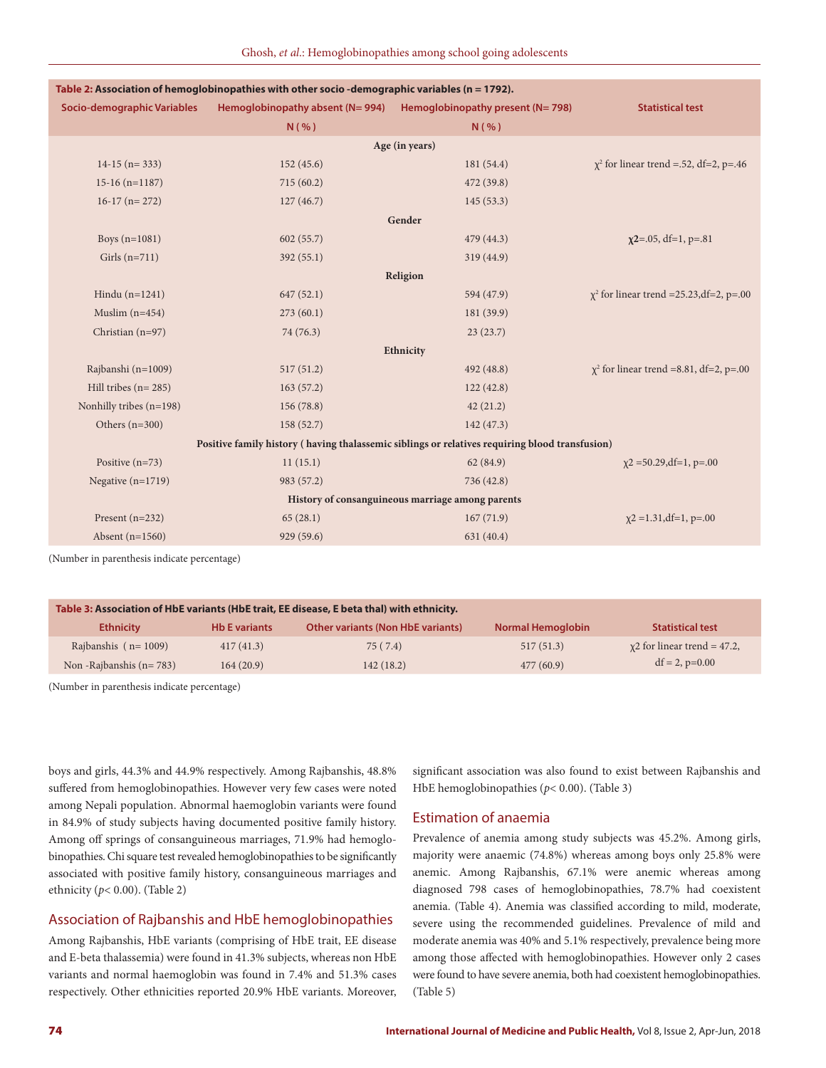| Table 2: Association of hemoglobinopathies with other socio-demographic variables (n = 1792).  |                |                                                                              |                                                |  |  |  |
|------------------------------------------------------------------------------------------------|----------------|------------------------------------------------------------------------------|------------------------------------------------|--|--|--|
| Socio-demographic Variables                                                                    |                | Hemoglobinopathy absent ( $N = 994$ ) Hemoglobinopathy present ( $N = 798$ ) | <b>Statistical test</b>                        |  |  |  |
|                                                                                                | N( %)          | $N($ %)                                                                      |                                                |  |  |  |
|                                                                                                | Age (in years) |                                                                              |                                                |  |  |  |
| $14-15$ (n= 333)                                                                               | 152(45.6)      | 181(54.4)                                                                    | $\chi^2$ for linear trend = .52, df=2, p=.46   |  |  |  |
| $15-16(n=1187)$                                                                                | 715(60.2)      | 472 (39.8)                                                                   |                                                |  |  |  |
| $16-17$ (n= 272)                                                                               | 127(46.7)      | 145(53.3)                                                                    |                                                |  |  |  |
|                                                                                                |                | Gender                                                                       |                                                |  |  |  |
| Boys (n=1081)                                                                                  | 602(55.7)      | 479 (44.3)                                                                   | $x^{2}$ =.05, df=1, p=.81                      |  |  |  |
| Girls $(n=711)$                                                                                | 392(55.1)      | 319 (44.9)                                                                   |                                                |  |  |  |
|                                                                                                |                | Religion                                                                     |                                                |  |  |  |
| Hindu $(n=1241)$                                                                               | 647(52.1)      | 594 (47.9)                                                                   | $\chi^2$ for linear trend = 25.23, df=2, p=.00 |  |  |  |
| Muslim $(n=454)$                                                                               | 273(60.1)      | 181 (39.9)                                                                   |                                                |  |  |  |
| Christian (n=97)                                                                               | 74 (76.3)      | 23(23.7)                                                                     |                                                |  |  |  |
|                                                                                                |                | Ethnicity                                                                    |                                                |  |  |  |
| Rajbanshi (n=1009)                                                                             | 517(51.2)      | 492 (48.8)                                                                   | $\chi^2$ for linear trend =8.81, df=2, p=.00   |  |  |  |
| Hill tribes $(n=285)$                                                                          | 163(57.2)      | 122(42.8)                                                                    |                                                |  |  |  |
| Nonhilly tribes (n=198)                                                                        | 156(78.8)      | 42(21.2)                                                                     |                                                |  |  |  |
| Others $(n=300)$                                                                               | 158(52.7)      | 142(47.3)                                                                    |                                                |  |  |  |
| Positive family history (having thalassemic siblings or relatives requiring blood transfusion) |                |                                                                              |                                                |  |  |  |
| Positive $(n=73)$                                                                              | 11(15.1)       | 62(84.9)                                                                     | $\chi$ 2 = 50.29, df = 1, p=.00                |  |  |  |
| Negative $(n=1719)$                                                                            | 983 (57.2)     | 736 (42.8)                                                                   |                                                |  |  |  |
| History of consanguineous marriage among parents                                               |                |                                                                              |                                                |  |  |  |
| Present $(n=232)$                                                                              | 65(28.1)       | 167(71.9)                                                                    | $\chi$ 2 = 1.31, df = 1, p = .00               |  |  |  |
| Absent $(n=1560)$                                                                              | 929 (59.6)     | 631 (40.4)                                                                   |                                                |  |  |  |
|                                                                                                |                |                                                                              |                                                |  |  |  |

(Number in parenthesis indicate percentage)

| Table 3: Association of HbE variants (HbE trait, EE disease, E beta thal) with ethnicity. |                      |                                          |                          |                                   |
|-------------------------------------------------------------------------------------------|----------------------|------------------------------------------|--------------------------|-----------------------------------|
| <b>Ethnicity</b>                                                                          | <b>Hb E variants</b> | <b>Other variants (Non HbE variants)</b> | <b>Normal Hemoglobin</b> | <b>Statistical test</b>           |
| Rajbanshis ( $n = 1009$ )                                                                 | 417(41.3)            | 75 (7.4)                                 | 517(51.3)                | $\chi$ 2 for linear trend = 47.2, |
| Non - Rajbanshis ( $n = 783$ )                                                            | 164(20.9)            | 142(18.2)                                | 477(60.9)                | $df = 2$ , $p=0.00$               |

(Number in parenthesis indicate percentage)

boys and girls, 44.3% and 44.9% respectively. Among Rajbanshis, 48.8% suffered from hemoglobinopathies. However very few cases were noted among Nepali population. Abnormal haemoglobin variants were found in 84.9% of study subjects having documented positive family history. Among off springs of consanguineous marriages, 71.9% had hemoglobinopathies. Chi square test revealed hemoglobinopathies to be significantly associated with positive family history, consanguineous marriages and ethnicity (*p*< 0.00). (Table 2)

## Association of Rajbanshis and HbE hemoglobinopathies

Among Rajbanshis, HbE variants (comprising of HbE trait, EE disease and E-beta thalassemia) were found in 41.3% subjects, whereas non HbE variants and normal haemoglobin was found in 7.4% and 51.3% cases respectively. Other ethnicities reported 20.9% HbE variants. Moreover, significant association was also found to exist between Rajbanshis and HbE hemoglobinopathies (*p*< 0.00). (Table 3)

#### Estimation of anaemia

Prevalence of anemia among study subjects was 45.2%. Among girls, majority were anaemic (74.8%) whereas among boys only 25.8% were anemic. Among Rajbanshis, 67.1% were anemic whereas among diagnosed 798 cases of hemoglobinopathies, 78.7% had coexistent anemia. (Table 4). Anemia was classified according to mild, moderate, severe using the recommended guidelines. Prevalence of mild and moderate anemia was 40% and 5.1% respectively, prevalence being more among those affected with hemoglobinopathies. However only 2 cases were found to have severe anemia, both had coexistent hemoglobinopathies. (Table 5)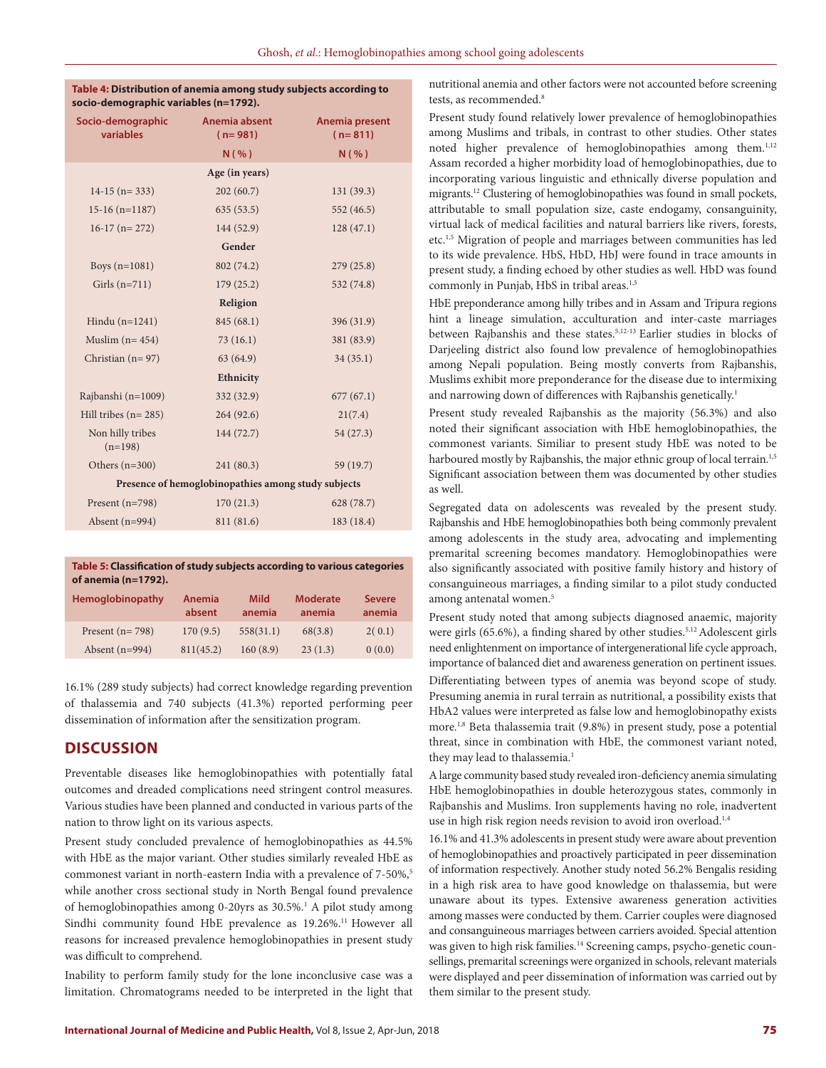| Table 4: Distribution of anemia among study subjects according to |
|-------------------------------------------------------------------|
| socio-demographic variables (n=1792).                             |

| Socio-demographic<br>variables                      | Anemia absent<br>$(n=981)$ | Anemia present<br>$(n=811)$ |  |  |  |
|-----------------------------------------------------|----------------------------|-----------------------------|--|--|--|
|                                                     | N( %)                      | N( %)                       |  |  |  |
|                                                     | Age (in years)             |                             |  |  |  |
| $14-15$ (n= 333)                                    | 202(60.7)                  | 131(39.3)                   |  |  |  |
| $15-16$ (n= $1187$ )                                | 635(53.5)                  | 552 (46.5)                  |  |  |  |
| $16-17$ (n= 272)                                    | 144 (52.9)                 | 128(47.1)                   |  |  |  |
|                                                     | Gender                     |                             |  |  |  |
| Boys $(n=1081)$                                     | 802 (74.2)                 | 279(25.8)                   |  |  |  |
| Girls $(n=711)$                                     | 179(25.2)                  | 532 (74.8)                  |  |  |  |
| Religion                                            |                            |                             |  |  |  |
| Hindu $(n=1241)$                                    | 845 (68.1)                 | 396 (31.9)                  |  |  |  |
| Muslim $(n=454)$                                    | 73(16.1)                   | 381 (83.9)                  |  |  |  |
| Christian $(n=97)$                                  | 63(64.9)                   | 34(35.1)                    |  |  |  |
|                                                     | Ethnicity                  |                             |  |  |  |
| Rajbanshi (n=1009)                                  | 332 (32.9)                 | 677(67.1)                   |  |  |  |
| Hill tribes $(n=285)$                               | 264(92.6)                  | 21(7.4)                     |  |  |  |
| Non hilly tribes<br>$(n=198)$                       | 144 (72.7)                 | 54(27.3)                    |  |  |  |
| Others $(n=300)$                                    | 241 (80.3)                 | 59 (19.7)                   |  |  |  |
| Presence of hemoglobinopathies among study subjects |                            |                             |  |  |  |
| Present $(n=798)$                                   | 170(21.3)                  | 628 (78.7)                  |  |  |  |
| Absent $(n=994)$                                    | 811 (81.6)                 | 183 (18.4)                  |  |  |  |

**Table 5: Classification of study subjects according to various categories of anemia (n=1792).**

| <b>Hemoglobinopathy</b> | <b>Anemia</b><br>absent | <b>Mild</b><br>anemia | <b>Moderate</b><br>anemia | <b>Severe</b><br>anemia |
|-------------------------|-------------------------|-----------------------|---------------------------|-------------------------|
| Present $(n=798)$       | 170(9.5)                | 558(31.1)             | 68(3.8)                   | 2(0.1)                  |
| Absent $(n=994)$        | 811(45.2)               | 160(8.9)              | 23(1.3)                   | 0(0.0)                  |

16.1% (289 study subjects) had correct knowledge regarding prevention of thalassemia and 740 subjects (41.3%) reported performing peer dissemination of information after the sensitization program.

## **DISCUSSION**

Preventable diseases like hemoglobinopathies with potentially fatal outcomes and dreaded complications need stringent control measures. Various studies have been planned and conducted in various parts of the nation to throw light on its various aspects.

Present study concluded prevalence of hemoglobinopathies as 44.5% with HbE as the major variant. Other studies similarly revealed HbE as commonest variant in north-eastern India with a prevalence of 7-50%,<sup>5</sup> while another cross sectional study in North Bengal found prevalence of hemoglobinopathies among 0-20yrs as 30.5%.1 A pilot study among Sindhi community found HbE prevalence as 19.26%.<sup>11</sup> However all reasons for increased prevalence hemoglobinopathies in present study was difficult to comprehend.

Inability to perform family study for the lone inconclusive case was a limitation. Chromatograms needed to be interpreted in the light that nutritional anemia and other factors were not accounted before screening tests, as recommended.8

Present study found relatively lower prevalence of hemoglobinopathies among Muslims and tribals, in contrast to other studies. Other states noted higher prevalence of hemoglobinopathies among them.<sup>1,12</sup> Assam recorded a higher morbidity load of hemoglobinopathies, due to incorporating various linguistic and ethnically diverse population and migrants.12 Clustering of hemoglobinopathies was found in small pockets, attributable to small population size, caste endogamy, consanguinity, virtual lack of medical facilities and natural barriers like rivers, forests, etc.1,5 Migration of people and marriages between communities has led to its wide prevalence. HbS, HbD, HbJ were found in trace amounts in present study, a finding echoed by other studies as well. HbD was found commonly in Punjab, HbS in tribal areas.<sup>1,5</sup>

HbE preponderance among hilly tribes and in Assam and Tripura regions hint a lineage simulation, acculturation and inter-caste marriages between Rajbanshis and these states.5,12-13 Earlier studies in blocks of Darjeeling district also found low prevalence of hemoglobinopathies among Nepali population. Being mostly converts from Rajbanshis, Muslims exhibit more preponderance for the disease due to intermixing and narrowing down of differences with Rajbanshis genetically.<sup>1</sup>

Present study revealed Rajbanshis as the majority (56.3%) and also noted their significant association with HbE hemoglobinopathies, the commonest variants. Similiar to present study HbE was noted to be harboured mostly by Rajbanshis, the major ethnic group of local terrain.<sup>1,5</sup> Significant association between them was documented by other studies as well.

Segregated data on adolescents was revealed by the present study. Rajbanshis and HbE hemoglobinopathies both being commonly prevalent among adolescents in the study area, advocating and implementing premarital screening becomes mandatory. Hemoglobinopathies were also significantly associated with positive family history and history of consanguineous marriages, a finding similar to a pilot study conducted among antenatal women.<sup>5</sup>

Present study noted that among subjects diagnosed anaemic, majority were girls (65.6%), a finding shared by other studies.<sup>5,12</sup> Adolescent girls need enlightenment on importance of intergenerational life cycle approach, importance of balanced diet and awareness generation on pertinent issues.

Differentiating between types of anemia was beyond scope of study. Presuming anemia in rural terrain as nutritional, a possibility exists that HbA2 values were interpreted as false low and hemoglobinopathy exists more.1,8 Beta thalassemia trait (9.8%) in present study, pose a potential threat, since in combination with HbE, the commonest variant noted, they may lead to thalassemia.<sup>1</sup>

A large community based study revealed iron-deficiency anemia simulating HbE hemoglobinopathies in double heterozygous states, commonly in Rajbanshis and Muslims. Iron supplements having no role, inadvertent use in high risk region needs revision to avoid iron overload.<sup>1,4</sup>

16.1% and 41.3% adolescents in present study were aware about prevention of hemoglobinopathies and proactively participated in peer dissemination of information respectively. Another study noted 56.2% Bengalis residing in a high risk area to have good knowledge on thalassemia, but were unaware about its types. Extensive awareness generation activities among masses were conducted by them. Carrier couples were diagnosed and consanguineous marriages between carriers avoided. Special attention was given to high risk families.<sup>14</sup> Screening camps, psycho-genetic counsellings, premarital screenings were organized in schools, relevant materials were displayed and peer dissemination of information was carried out by them similar to the present study.